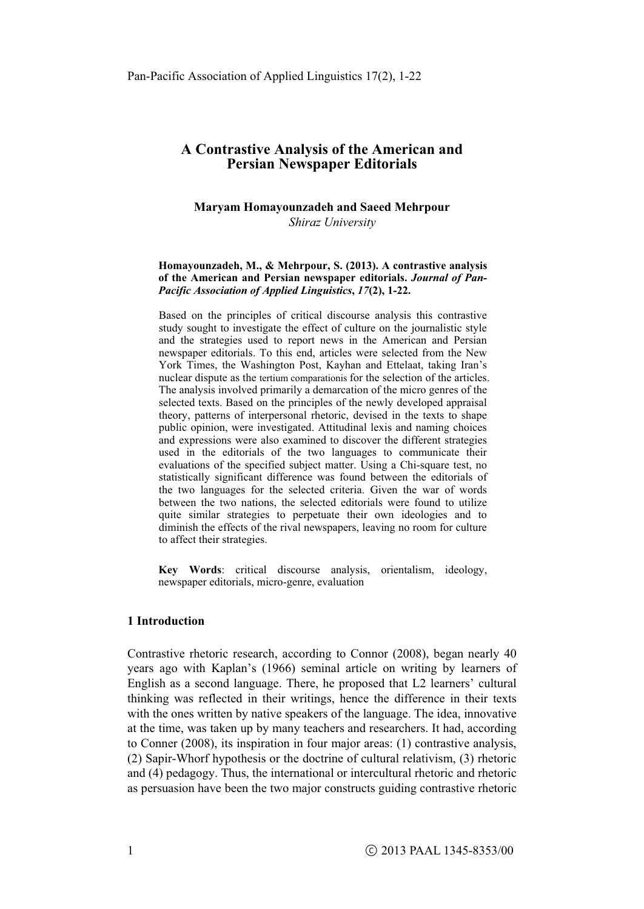#### **Maryam Homayounzadeh and Saeed Mehrpour**   *Shiraz University*

#### **Homayounzadeh, M., & Mehrpour, S. (2013). A contrastive analysis of the American and Persian newspaper editorials.** *Journal of Pan-Pacific Association of Applied Linguistics***,** *17***(2), 1-22.**

Based on the principles of critical discourse analysis this contrastive study sought to investigate the effect of culture on the journalistic style and the strategies used to report news in the American and Persian newspaper editorials. To this end, articles were selected from the New York Times, the Washington Post, Kayhan and Ettelaat, taking Iran's nuclear dispute as the tertium comparationis for the selection of the articles. The analysis involved primarily a demarcation of the micro genres of the selected texts. Based on the principles of the newly developed appraisal theory, patterns of interpersonal rhetoric, devised in the texts to shape public opinion, were investigated. Attitudinal lexis and naming choices and expressions were also examined to discover the different strategies used in the editorials of the two languages to communicate their evaluations of the specified subject matter. Using a Chi-square test, no statistically significant difference was found between the editorials of the two languages for the selected criteria. Given the war of words between the two nations, the selected editorials were found to utilize quite similar strategies to perpetuate their own ideologies and to diminish the effects of the rival newspapers, leaving no room for culture to affect their strategies.

**Key Words**: critical discourse analysis, orientalism, ideology, newspaper editorials, micro-genre, evaluation

## **1 Introduction**

Contrastive rhetoric research, according to Connor (2008), began nearly 40 years ago with Kaplan's (1966) seminal article on writing by learners of English as a second language. There, he proposed that L2 learners' cultural thinking was reflected in their writings, hence the difference in their texts with the ones written by native speakers of the language. The idea, innovative at the time, was taken up by many teachers and researchers. It had, according to Conner (2008), its inspiration in four major areas: (1) contrastive analysis, (2) Sapir-Whorf hypothesis or the doctrine of cultural relativism, (3) rhetoric and (4) pedagogy. Thus, the international or intercultural rhetoric and rhetoric as persuasion have been the two major constructs guiding contrastive rhetoric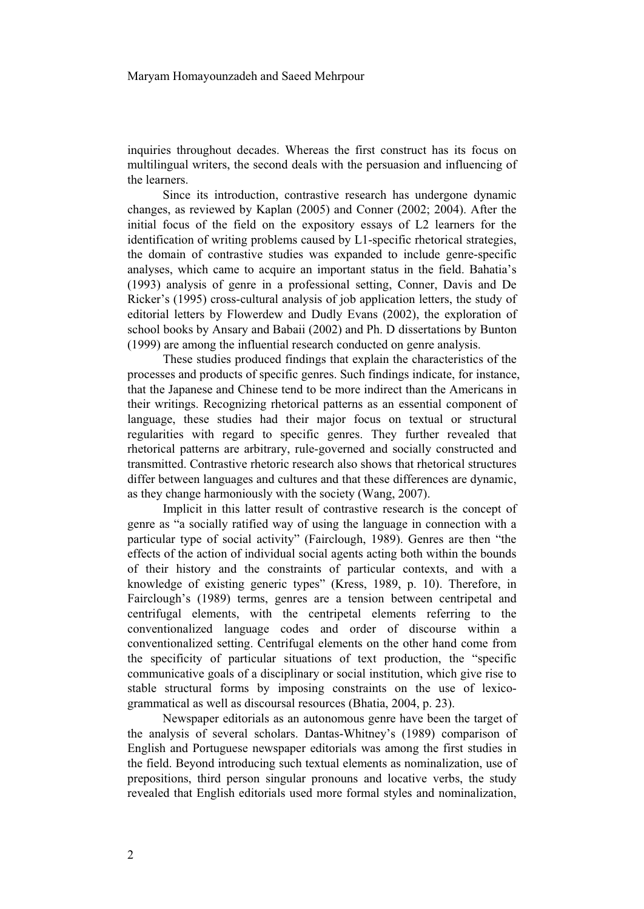inquiries throughout decades. Whereas the first construct has its focus on multilingual writers, the second deals with the persuasion and influencing of the learners.

Since its introduction, contrastive research has undergone dynamic changes, as reviewed by Kaplan (2005) and Conner (2002; 2004). After the initial focus of the field on the expository essays of L2 learners for the identification of writing problems caused by L1-specific rhetorical strategies, the domain of contrastive studies was expanded to include genre-specific analyses, which came to acquire an important status in the field. Bahatia's (1993) analysis of genre in a professional setting, Conner, Davis and De Ricker's (1995) cross-cultural analysis of job application letters, the study of editorial letters by Flowerdew and Dudly Evans (2002), the exploration of school books by Ansary and Babaii (2002) and Ph. D dissertations by Bunton (1999) are among the influential research conducted on genre analysis.

These studies produced findings that explain the characteristics of the processes and products of specific genres. Such findings indicate, for instance, that the Japanese and Chinese tend to be more indirect than the Americans in their writings. Recognizing rhetorical patterns as an essential component of language, these studies had their major focus on textual or structural regularities with regard to specific genres. They further revealed that rhetorical patterns are arbitrary, rule-governed and socially constructed and transmitted. Contrastive rhetoric research also shows that rhetorical structures differ between languages and cultures and that these differences are dynamic, as they change harmoniously with the society (Wang, 2007).

Implicit in this latter result of contrastive research is the concept of genre as "a socially ratified way of using the language in connection with a particular type of social activity" (Fairclough, 1989). Genres are then "the effects of the action of individual social agents acting both within the bounds of their history and the constraints of particular contexts, and with a knowledge of existing generic types" (Kress, 1989, p. 10). Therefore, in Fairclough's (1989) terms, genres are a tension between centripetal and centrifugal elements, with the centripetal elements referring to the conventionalized language codes and order of discourse within a conventionalized setting. Centrifugal elements on the other hand come from the specificity of particular situations of text production, the "specific communicative goals of a disciplinary or social institution, which give rise to stable structural forms by imposing constraints on the use of lexicogrammatical as well as discoursal resources (Bhatia, 2004, p. 23).

Newspaper editorials as an autonomous genre have been the target of the analysis of several scholars. Dantas-Whitney's (1989) comparison of English and Portuguese newspaper editorials was among the first studies in the field. Beyond introducing such textual elements as nominalization, use of prepositions, third person singular pronouns and locative verbs, the study revealed that English editorials used more formal styles and nominalization,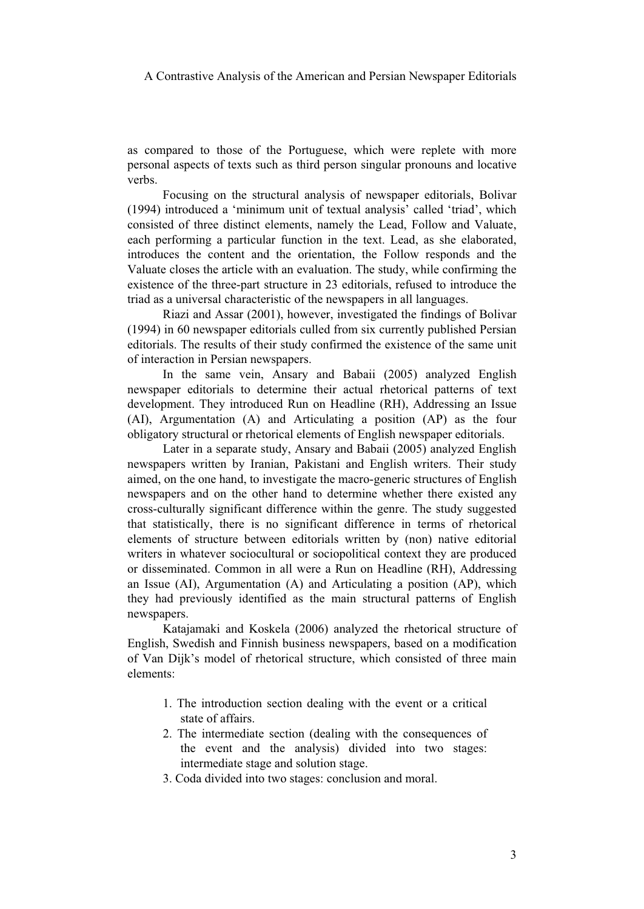as compared to those of the Portuguese, which were replete with more personal aspects of texts such as third person singular pronouns and locative verbs.

Focusing on the structural analysis of newspaper editorials, Bolivar (1994) introduced a 'minimum unit of textual analysis' called 'triad', which consisted of three distinct elements, namely the Lead, Follow and Valuate, each performing a particular function in the text. Lead, as she elaborated, introduces the content and the orientation, the Follow responds and the Valuate closes the article with an evaluation. The study, while confirming the existence of the three-part structure in 23 editorials, refused to introduce the triad as a universal characteristic of the newspapers in all languages.

Riazi and Assar (2001), however, investigated the findings of Bolivar (1994) in 60 newspaper editorials culled from six currently published Persian editorials. The results of their study confirmed the existence of the same unit of interaction in Persian newspapers.

In the same vein, Ansary and Babaii (2005) analyzed English newspaper editorials to determine their actual rhetorical patterns of text development. They introduced Run on Headline (RH), Addressing an Issue (AI), Argumentation (A) and Articulating a position (AP) as the four obligatory structural or rhetorical elements of English newspaper editorials.

Later in a separate study, Ansary and Babaii (2005) analyzed English newspapers written by Iranian, Pakistani and English writers. Their study aimed, on the one hand, to investigate the macro-generic structures of English newspapers and on the other hand to determine whether there existed any cross-culturally significant difference within the genre. The study suggested that statistically, there is no significant difference in terms of rhetorical elements of structure between editorials written by (non) native editorial writers in whatever sociocultural or sociopolitical context they are produced or disseminated. Common in all were a Run on Headline (RH), Addressing an Issue (AI), Argumentation (A) and Articulating a position (AP), which they had previously identified as the main structural patterns of English newspapers.

Katajamaki and Koskela (2006) analyzed the rhetorical structure of English, Swedish and Finnish business newspapers, based on a modification of Van Dijk's model of rhetorical structure, which consisted of three main elements:

- 1. The introduction section dealing with the event or a critical state of affairs.
- 2. The intermediate section (dealing with the consequences of the event and the analysis) divided into two stages: intermediate stage and solution stage.
- 3. Coda divided into two stages: conclusion and moral.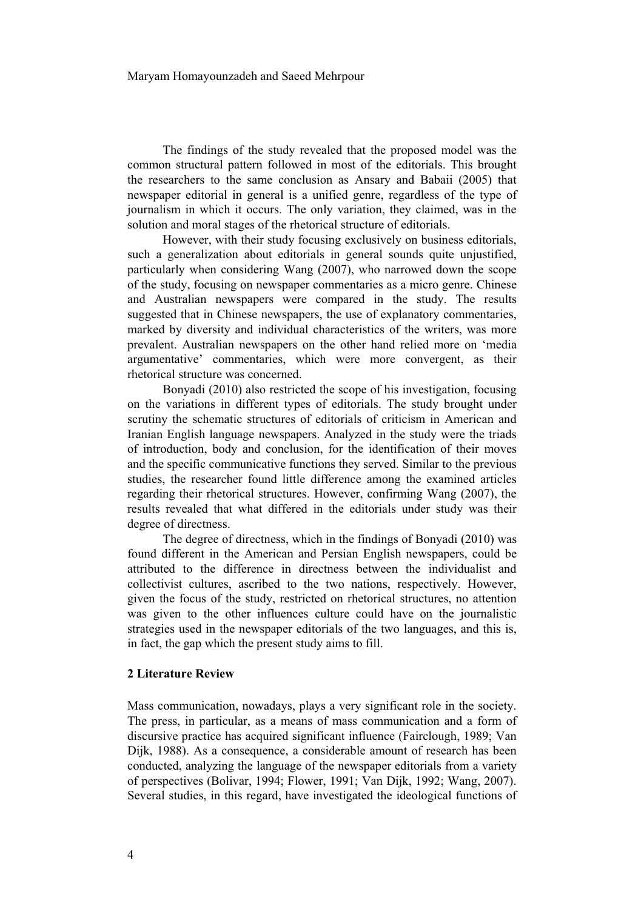The findings of the study revealed that the proposed model was the common structural pattern followed in most of the editorials. This brought the researchers to the same conclusion as Ansary and Babaii (2005) that newspaper editorial in general is a unified genre, regardless of the type of journalism in which it occurs. The only variation, they claimed, was in the solution and moral stages of the rhetorical structure of editorials.

However, with their study focusing exclusively on business editorials, such a generalization about editorials in general sounds quite unjustified, particularly when considering Wang (2007), who narrowed down the scope of the study, focusing on newspaper commentaries as a micro genre. Chinese and Australian newspapers were compared in the study. The results suggested that in Chinese newspapers, the use of explanatory commentaries, marked by diversity and individual characteristics of the writers, was more prevalent. Australian newspapers on the other hand relied more on 'media argumentative' commentaries, which were more convergent, as their rhetorical structure was concerned.

Bonyadi (2010) also restricted the scope of his investigation, focusing on the variations in different types of editorials. The study brought under scrutiny the schematic structures of editorials of criticism in American and Iranian English language newspapers. Analyzed in the study were the triads of introduction, body and conclusion, for the identification of their moves and the specific communicative functions they served. Similar to the previous studies, the researcher found little difference among the examined articles regarding their rhetorical structures. However, confirming Wang (2007), the results revealed that what differed in the editorials under study was their degree of directness.

The degree of directness, which in the findings of Bonyadi (2010) was found different in the American and Persian English newspapers, could be attributed to the difference in directness between the individualist and collectivist cultures, ascribed to the two nations, respectively. However, given the focus of the study, restricted on rhetorical structures, no attention was given to the other influences culture could have on the journalistic strategies used in the newspaper editorials of the two languages, and this is, in fact, the gap which the present study aims to fill.

#### **2 Literature Review**

Mass communication, nowadays, plays a very significant role in the society. The press, in particular, as a means of mass communication and a form of discursive practice has acquired significant influence (Fairclough, 1989; Van Dijk, 1988). As a consequence, a considerable amount of research has been conducted, analyzing the language of the newspaper editorials from a variety of perspectives (Bolivar, 1994; Flower, 1991; Van Dijk, 1992; Wang, 2007). Several studies, in this regard, have investigated the ideological functions of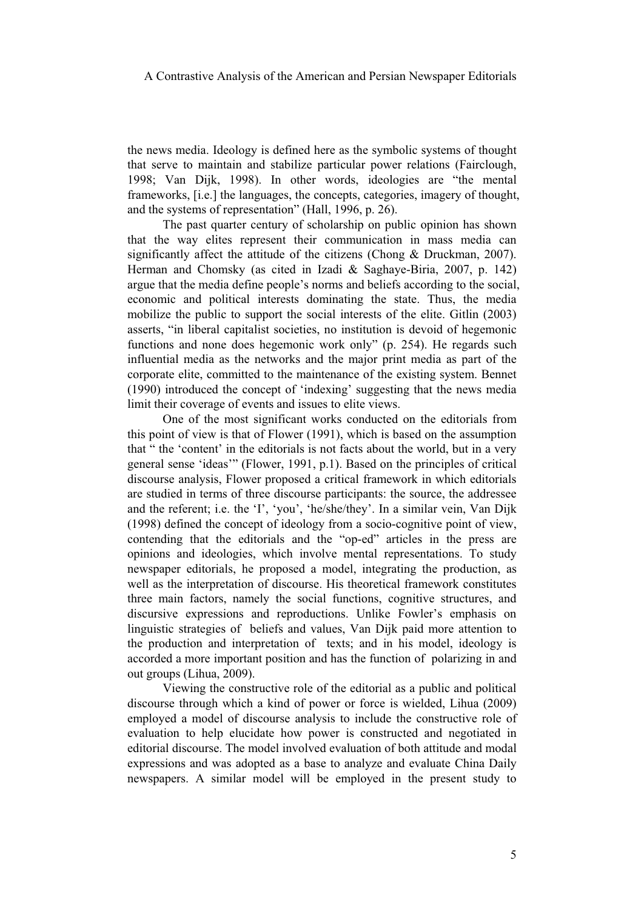the news media. Ideology is defined here as the symbolic systems of thought that serve to maintain and stabilize particular power relations (Fairclough, 1998; Van Dijk, 1998). In other words, ideologies are "the mental frameworks, [i.e.] the languages, the concepts, categories, imagery of thought, and the systems of representation" (Hall, 1996, p. 26).

The past quarter century of scholarship on public opinion has shown that the way elites represent their communication in mass media can significantly affect the attitude of the citizens (Chong & Druckman, 2007). Herman and Chomsky (as cited in Izadi & Saghaye-Biria, 2007, p. 142) argue that the media define people's norms and beliefs according to the social, economic and political interests dominating the state. Thus, the media mobilize the public to support the social interests of the elite. Gitlin (2003) asserts, "in liberal capitalist societies, no institution is devoid of hegemonic functions and none does hegemonic work only" (p. 254). He regards such influential media as the networks and the major print media as part of the corporate elite, committed to the maintenance of the existing system. Bennet (1990) introduced the concept of 'indexing' suggesting that the news media limit their coverage of events and issues to elite views.

One of the most significant works conducted on the editorials from this point of view is that of Flower (1991), which is based on the assumption that " the 'content' in the editorials is not facts about the world, but in a very general sense 'ideas'" (Flower, 1991, p.1). Based on the principles of critical discourse analysis, Flower proposed a critical framework in which editorials are studied in terms of three discourse participants: the source, the addressee and the referent; i.e. the 'I', 'you', 'he/she/they'. In a similar vein, Van Dijk (1998) defined the concept of ideology from a socio-cognitive point of view, contending that the editorials and the "op-ed" articles in the press are opinions and ideologies, which involve mental representations. To study newspaper editorials, he proposed a model, integrating the production, as well as the interpretation of discourse. His theoretical framework constitutes three main factors, namely the social functions, cognitive structures, and discursive expressions and reproductions. Unlike Fowler's emphasis on linguistic strategies of beliefs and values, Van Dijk paid more attention to the production and interpretation of texts; and in his model, ideology is accorded a more important position and has the function of polarizing in and out groups (Lihua, 2009).

Viewing the constructive role of the editorial as a public and political discourse through which a kind of power or force is wielded, Lihua (2009) employed a model of discourse analysis to include the constructive role of evaluation to help elucidate how power is constructed and negotiated in editorial discourse. The model involved evaluation of both attitude and modal expressions and was adopted as a base to analyze and evaluate China Daily newspapers. A similar model will be employed in the present study to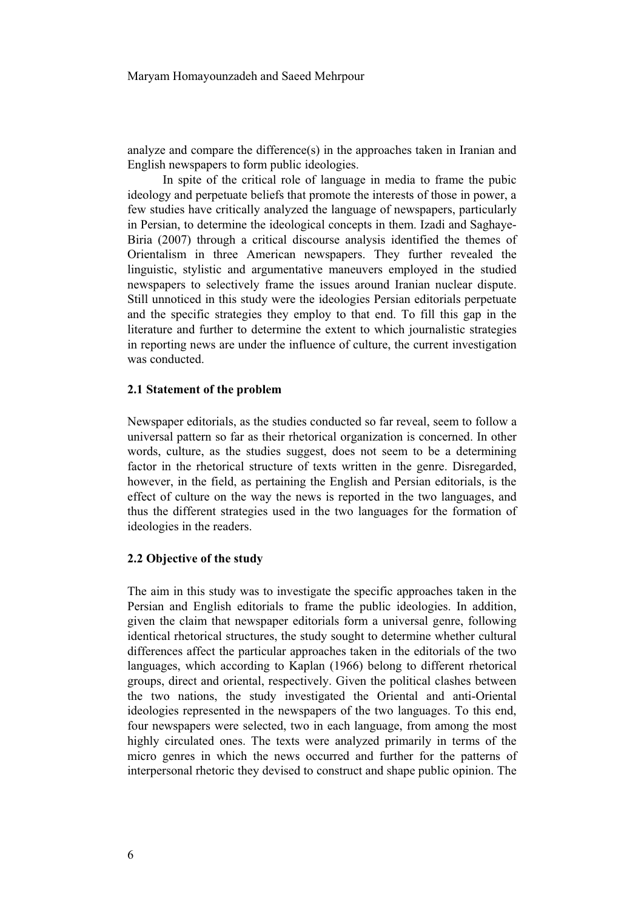analyze and compare the difference(s) in the approaches taken in Iranian and English newspapers to form public ideologies.

In spite of the critical role of language in media to frame the pubic ideology and perpetuate beliefs that promote the interests of those in power, a few studies have critically analyzed the language of newspapers, particularly in Persian, to determine the ideological concepts in them. Izadi and Saghaye-Biria (2007) through a critical discourse analysis identified the themes of Orientalism in three American newspapers. They further revealed the linguistic, stylistic and argumentative maneuvers employed in the studied newspapers to selectively frame the issues around Iranian nuclear dispute. Still unnoticed in this study were the ideologies Persian editorials perpetuate and the specific strategies they employ to that end. To fill this gap in the literature and further to determine the extent to which journalistic strategies in reporting news are under the influence of culture, the current investigation was conducted.

#### **2.1 Statement of the problem**

Newspaper editorials, as the studies conducted so far reveal, seem to follow a universal pattern so far as their rhetorical organization is concerned. In other words, culture, as the studies suggest, does not seem to be a determining factor in the rhetorical structure of texts written in the genre. Disregarded, however, in the field, as pertaining the English and Persian editorials, is the effect of culture on the way the news is reported in the two languages, and thus the different strategies used in the two languages for the formation of ideologies in the readers.

#### **2.2 Objective of the study**

The aim in this study was to investigate the specific approaches taken in the Persian and English editorials to frame the public ideologies. In addition, given the claim that newspaper editorials form a universal genre, following identical rhetorical structures, the study sought to determine whether cultural differences affect the particular approaches taken in the editorials of the two languages, which according to Kaplan (1966) belong to different rhetorical groups, direct and oriental, respectively. Given the political clashes between the two nations, the study investigated the Oriental and anti-Oriental ideologies represented in the newspapers of the two languages. To this end, four newspapers were selected, two in each language, from among the most highly circulated ones. The texts were analyzed primarily in terms of the micro genres in which the news occurred and further for the patterns of interpersonal rhetoric they devised to construct and shape public opinion. The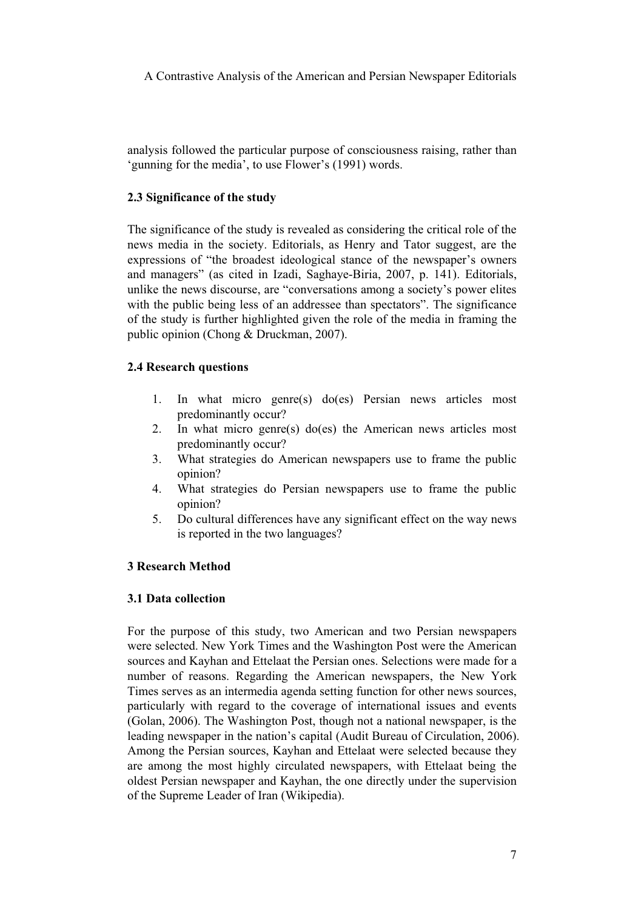analysis followed the particular purpose of consciousness raising, rather than 'gunning for the media', to use Flower's (1991) words.

## **2.3 Significance of the study**

The significance of the study is revealed as considering the critical role of the news media in the society. Editorials, as Henry and Tator suggest, are the expressions of "the broadest ideological stance of the newspaper's owners and managers" (as cited in Izadi, Saghaye-Biria, 2007, p. 141). Editorials, unlike the news discourse, are "conversations among a society's power elites with the public being less of an addressee than spectators". The significance of the study is further highlighted given the role of the media in framing the public opinion (Chong & Druckman, 2007).

## **2.4 Research questions**

- 1. In what micro genre(s) do(es) Persian news articles most predominantly occur?
- 2. In what micro genre(s) do(es) the American news articles most predominantly occur?
- 3. What strategies do American newspapers use to frame the public opinion?
- 4. What strategies do Persian newspapers use to frame the public opinion?
- 5. Do cultural differences have any significant effect on the way news is reported in the two languages?

#### **3 Research Method**

#### **3.1 Data collection**

For the purpose of this study, two American and two Persian newspapers were selected. New York Times and the Washington Post were the American sources and Kayhan and Ettelaat the Persian ones. Selections were made for a number of reasons. Regarding the American newspapers, the New York Times serves as an intermedia agenda setting function for other news sources, particularly with regard to the coverage of international issues and events (Golan, 2006). The Washington Post, though not a national newspaper, is the leading newspaper in the nation's capital (Audit Bureau of Circulation, 2006). Among the Persian sources, Kayhan and Ettelaat were selected because they are among the most highly circulated newspapers, with Ettelaat being the oldest Persian newspaper and Kayhan, the one directly under the supervision of the Supreme Leader of Iran (Wikipedia).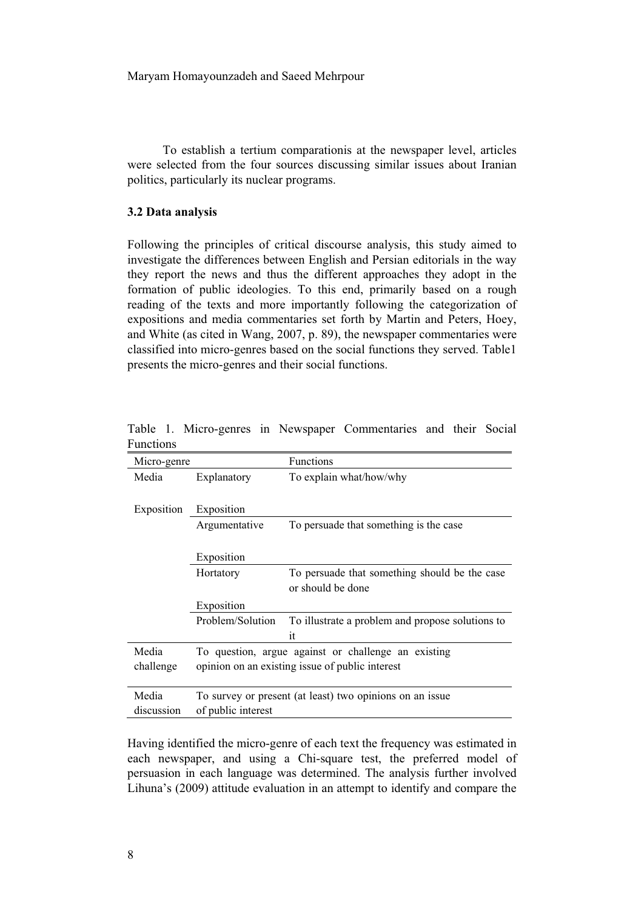To establish a tertium comparationis at the newspaper level, articles were selected from the four sources discussing similar issues about Iranian politics, particularly its nuclear programs.

#### **3.2 Data analysis**

Following the principles of critical discourse analysis, this study aimed to investigate the differences between English and Persian editorials in the way they report the news and thus the different approaches they adopt in the formation of public ideologies. To this end, primarily based on a rough reading of the texts and more importantly following the categorization of expositions and media commentaries set forth by Martin and Peters, Hoey, and White (as cited in Wang, 2007, p. 89), the newspaper commentaries were classified into micro-genres based on the social functions they served. Table1 presents the micro-genres and their social functions.

| r unctions  |                                                     |                                                          |  |  |
|-------------|-----------------------------------------------------|----------------------------------------------------------|--|--|
| Micro-genre |                                                     | <b>Functions</b>                                         |  |  |
| Media       | Explanatory                                         | To explain what/how/why                                  |  |  |
|             |                                                     |                                                          |  |  |
| Exposition  | Exposition                                          |                                                          |  |  |
|             | Argumentative                                       | To persuade that something is the case                   |  |  |
|             |                                                     |                                                          |  |  |
|             | Exposition                                          |                                                          |  |  |
|             | Hortatory                                           | To persuade that something should be the case            |  |  |
|             |                                                     | or should be done                                        |  |  |
|             | Exposition                                          |                                                          |  |  |
|             | Problem/Solution                                    | To illustrate a problem and propose solutions to         |  |  |
|             |                                                     | it                                                       |  |  |
| Media       | To question, argue against or challenge an existing |                                                          |  |  |
| challenge   | opinion on an existing issue of public interest     |                                                          |  |  |
|             |                                                     |                                                          |  |  |
| Media       |                                                     | To survey or present (at least) two opinions on an issue |  |  |
| discussion  | of public interest                                  |                                                          |  |  |

Table 1. Micro-genres in Newspaper Commentaries and their Social Functions

Having identified the micro-genre of each text the frequency was estimated in each newspaper, and using a Chi-square test, the preferred model of persuasion in each language was determined. The analysis further involved Lihuna's (2009) attitude evaluation in an attempt to identify and compare the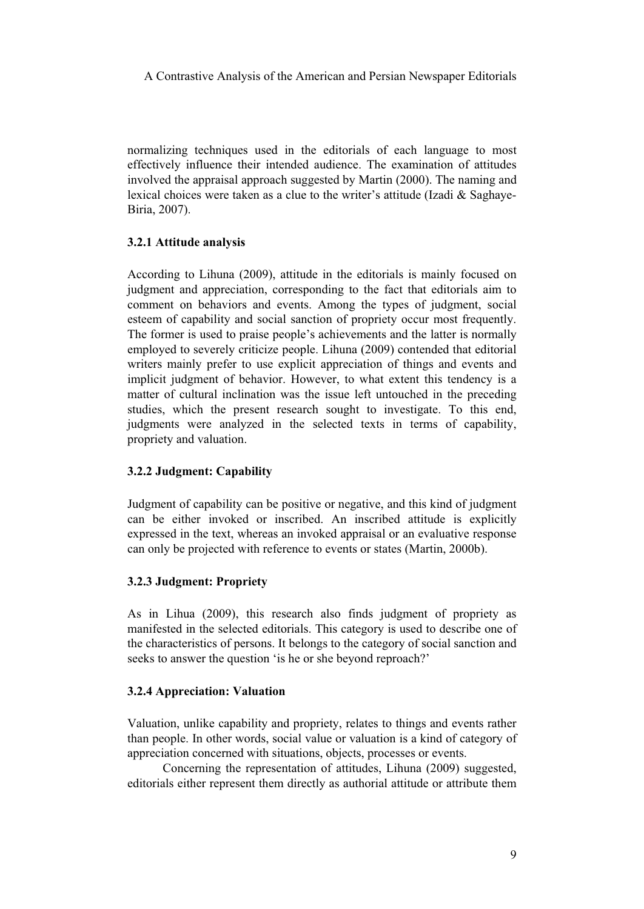normalizing techniques used in the editorials of each language to most effectively influence their intended audience. The examination of attitudes involved the appraisal approach suggested by Martin (2000). The naming and lexical choices were taken as a clue to the writer's attitude (Izadi & Saghaye-Biria, 2007).

# **3.2.1 Attitude analysis**

According to Lihuna (2009), attitude in the editorials is mainly focused on judgment and appreciation, corresponding to the fact that editorials aim to comment on behaviors and events. Among the types of judgment, social esteem of capability and social sanction of propriety occur most frequently. The former is used to praise people's achievements and the latter is normally employed to severely criticize people. Lihuna (2009) contended that editorial writers mainly prefer to use explicit appreciation of things and events and implicit judgment of behavior. However, to what extent this tendency is a matter of cultural inclination was the issue left untouched in the preceding studies, which the present research sought to investigate. To this end, judgments were analyzed in the selected texts in terms of capability, propriety and valuation.

#### **3.2.2 Judgment: Capability**

Judgment of capability can be positive or negative, and this kind of judgment can be either invoked or inscribed. An inscribed attitude is explicitly expressed in the text, whereas an invoked appraisal or an evaluative response can only be projected with reference to events or states (Martin, 2000b).

# **3.2.3 Judgment: Propriety**

As in Lihua (2009), this research also finds judgment of propriety as manifested in the selected editorials. This category is used to describe one of the characteristics of persons. It belongs to the category of social sanction and seeks to answer the question 'is he or she beyond reproach?'

#### **3.2.4 Appreciation: Valuation**

Valuation, unlike capability and propriety, relates to things and events rather than people. In other words, social value or valuation is a kind of category of appreciation concerned with situations, objects, processes or events.

Concerning the representation of attitudes, Lihuna (2009) suggested, editorials either represent them directly as authorial attitude or attribute them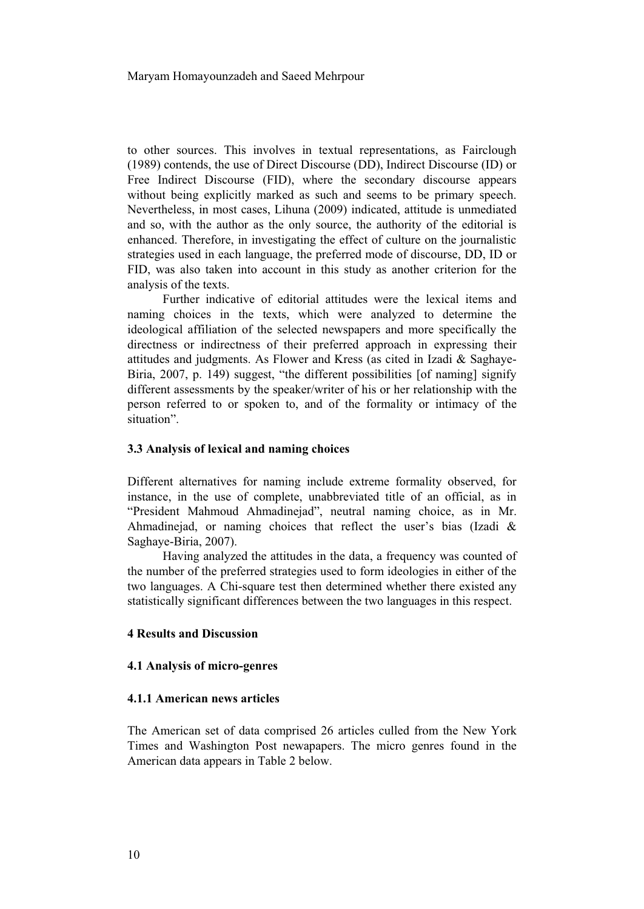to other sources. This involves in textual representations, as Fairclough (1989) contends, the use of Direct Discourse (DD), Indirect Discourse (ID) or Free Indirect Discourse (FID), where the secondary discourse appears without being explicitly marked as such and seems to be primary speech. Nevertheless, in most cases, Lihuna (2009) indicated, attitude is unmediated and so, with the author as the only source, the authority of the editorial is enhanced. Therefore, in investigating the effect of culture on the journalistic strategies used in each language, the preferred mode of discourse, DD, ID or FID, was also taken into account in this study as another criterion for the analysis of the texts.

Further indicative of editorial attitudes were the lexical items and naming choices in the texts, which were analyzed to determine the ideological affiliation of the selected newspapers and more specifically the directness or indirectness of their preferred approach in expressing their attitudes and judgments. As Flower and Kress (as cited in Izadi & Saghaye-Biria, 2007, p. 149) suggest, "the different possibilities [of naming] signify different assessments by the speaker/writer of his or her relationship with the person referred to or spoken to, and of the formality or intimacy of the situation".

#### **3.3 Analysis of lexical and naming choices**

Different alternatives for naming include extreme formality observed, for instance, in the use of complete, unabbreviated title of an official, as in "President Mahmoud Ahmadinejad", neutral naming choice, as in Mr. Ahmadinejad, or naming choices that reflect the user's bias (Izadi & Saghaye-Biria, 2007).

Having analyzed the attitudes in the data, a frequency was counted of the number of the preferred strategies used to form ideologies in either of the two languages. A Chi-square test then determined whether there existed any statistically significant differences between the two languages in this respect.

#### **4 Results and Discussion**

#### **4.1 Analysis of micro-genres**

#### **4.1.1 American news articles**

The American set of data comprised 26 articles culled from the New York Times and Washington Post newapapers. The micro genres found in the American data appears in Table 2 below.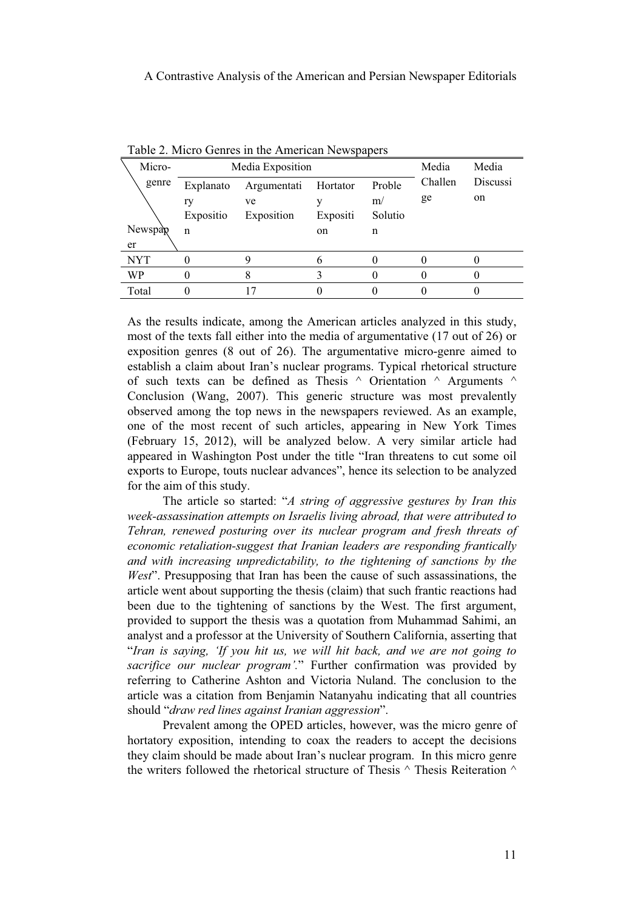| Micro-     | Media Exposition |             |          | Media   | Media   |          |
|------------|------------------|-------------|----------|---------|---------|----------|
| genre      | Explanato        | Argumentati | Hortator | Proble  | Challen | Discussi |
|            | ry               | ve          |          | m/      | ge      | on       |
|            | Expositio        | Exposition  | Expositi | Solutio |         |          |
| Newspap    | $\mathbf n$      |             | on       | n       |         |          |
| er         |                  |             |          |         |         |          |
| <b>NYT</b> |                  |             |          |         |         |          |
| WP         |                  |             |          |         |         |          |
| Total      |                  | ٠7          |          |         |         |          |

Table 2. Micro Genres in the American Newspapers

As the results indicate, among the American articles analyzed in this study, most of the texts fall either into the media of argumentative (17 out of 26) or exposition genres (8 out of 26). The argumentative micro-genre aimed to establish a claim about Iran's nuclear programs. Typical rhetorical structure of such texts can be defined as Thesis  $\land$  Orientation  $\land$  Arguments  $\land$ Conclusion (Wang, 2007). This generic structure was most prevalently observed among the top news in the newspapers reviewed. As an example, one of the most recent of such articles, appearing in New York Times (February 15, 2012), will be analyzed below. A very similar article had appeared in Washington Post under the title "Iran threatens to cut some oil exports to Europe, touts nuclear advances", hence its selection to be analyzed for the aim of this study.

The article so started: "*A string of aggressive gestures by Iran this week-assassination attempts on Israelis living abroad, that were attributed to Tehran, renewed posturing over its nuclear program and fresh threats of economic retaliation-suggest that Iranian leaders are responding frantically and with increasing unpredictability, to the tightening of sanctions by the West*". Presupposing that Iran has been the cause of such assassinations, the article went about supporting the thesis (claim) that such frantic reactions had been due to the tightening of sanctions by the West. The first argument, provided to support the thesis was a quotation from Muhammad Sahimi, an analyst and a professor at the University of Southern California, asserting that "*Iran is saying, 'If you hit us, we will hit back, and we are not going to sacrifice our nuclear program'.*" Further confirmation was provided by referring to Catherine Ashton and Victoria Nuland. The conclusion to the article was a citation from Benjamin Natanyahu indicating that all countries should "*draw red lines against Iranian aggression*".

Prevalent among the OPED articles, however, was the micro genre of hortatory exposition, intending to coax the readers to accept the decisions they claim should be made about Iran's nuclear program. In this micro genre the writers followed the rhetorical structure of Thesis  $\land$  Thesis Reiteration  $\land$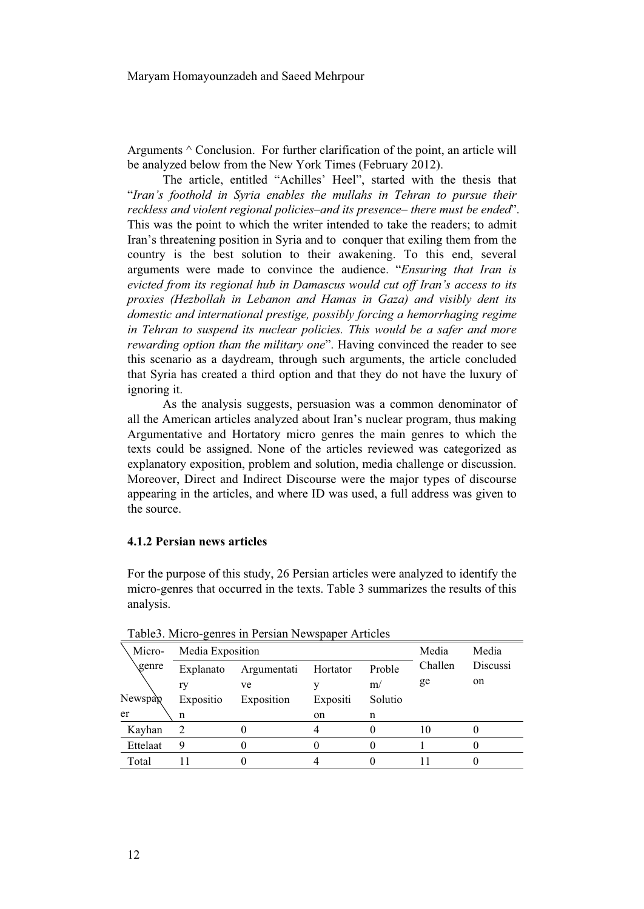Arguments  $\wedge$  Conclusion. For further clarification of the point, an article will be analyzed below from the New York Times (February 2012).

The article, entitled "Achilles' Heel", started with the thesis that "*Iran's foothold in Syria enables the mullahs in Tehran to pursue their reckless and violent regional policies–and its presence– there must be ended*". This was the point to which the writer intended to take the readers; to admit Iran's threatening position in Syria and to conquer that exiling them from the country is the best solution to their awakening. To this end, several arguments were made to convince the audience. "*Ensuring that Iran is evicted from its regional hub in Damascus would cut off Iran's access to its proxies (Hezbollah in Lebanon and Hamas in Gaza) and visibly dent its domestic and international prestige, possibly forcing a hemorrhaging regime in Tehran to suspend its nuclear policies. This would be a safer and more rewarding option than the military one*". Having convinced the reader to see this scenario as a daydream, through such arguments, the article concluded that Syria has created a third option and that they do not have the luxury of ignoring it.

As the analysis suggests, persuasion was a common denominator of all the American articles analyzed about Iran's nuclear program, thus making Argumentative and Hortatory micro genres the main genres to which the texts could be assigned. None of the articles reviewed was categorized as explanatory exposition, problem and solution, media challenge or discussion. Moreover, Direct and Indirect Discourse were the major types of discourse appearing in the articles, and where ID was used, a full address was given to the source.

# **4.1.2 Persian news articles**

For the purpose of this study, 26 Persian articles were analyzed to identify the micro-genres that occurred in the texts. Table 3 summarizes the results of this analysis.

| raores, miero gemes in i ersian riemspaper rificies |                  |             |          |         |         |          |
|-----------------------------------------------------|------------------|-------------|----------|---------|---------|----------|
| Micro-                                              | Media Exposition |             |          |         | Media   | Media    |
| genre                                               | Explanato        | Argumentati | Hortator | Proble  | Challen | Discussi |
|                                                     | ry               | ve          |          | m/      | ge      | on       |
| Newspap                                             | Expositio        | Exposition  | Expositi | Solutio |         |          |
| er                                                  | n                |             | on       | n       |         |          |
| Kayhan                                              |                  |             |          |         | 10      |          |
| Ettelaat                                            |                  |             |          |         |         |          |
| Total                                               |                  |             |          |         |         |          |

Table3. Micro-genres in Persian Newspaper Articles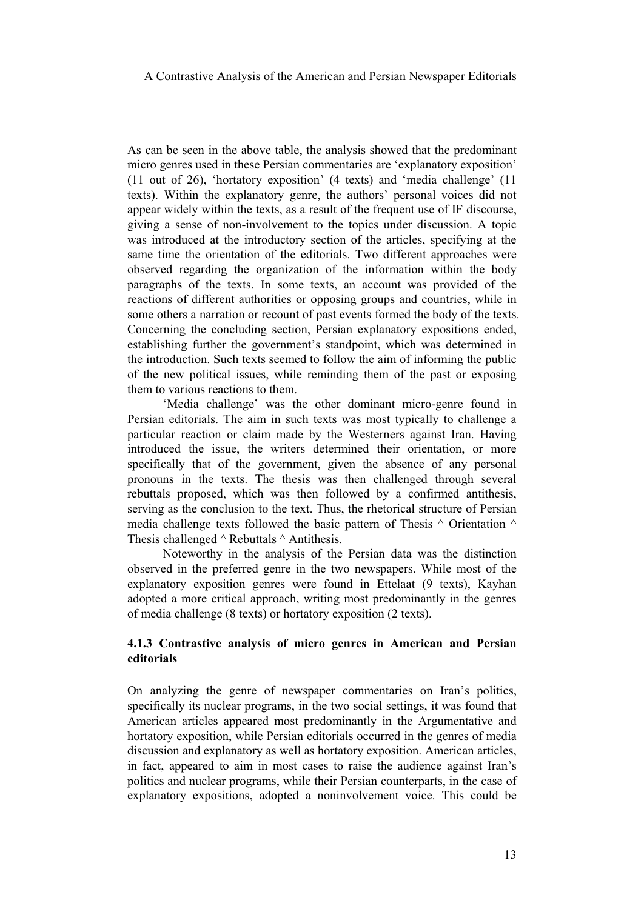As can be seen in the above table, the analysis showed that the predominant micro genres used in these Persian commentaries are 'explanatory exposition' (11 out of 26), 'hortatory exposition' (4 texts) and 'media challenge' (11 texts). Within the explanatory genre, the authors' personal voices did not appear widely within the texts, as a result of the frequent use of IF discourse, giving a sense of non-involvement to the topics under discussion. A topic was introduced at the introductory section of the articles, specifying at the same time the orientation of the editorials. Two different approaches were observed regarding the organization of the information within the body paragraphs of the texts. In some texts, an account was provided of the reactions of different authorities or opposing groups and countries, while in some others a narration or recount of past events formed the body of the texts. Concerning the concluding section, Persian explanatory expositions ended, establishing further the government's standpoint, which was determined in the introduction. Such texts seemed to follow the aim of informing the public of the new political issues, while reminding them of the past or exposing them to various reactions to them.

'Media challenge' was the other dominant micro-genre found in Persian editorials. The aim in such texts was most typically to challenge a particular reaction or claim made by the Westerners against Iran. Having introduced the issue, the writers determined their orientation, or more specifically that of the government, given the absence of any personal pronouns in the texts. The thesis was then challenged through several rebuttals proposed, which was then followed by a confirmed antithesis, serving as the conclusion to the text. Thus, the rhetorical structure of Persian media challenge texts followed the basic pattern of Thesis  $\land$  Orientation  $\land$ Thesis challenged  $\land$  Rebuttals  $\land$  Antithesis.

Noteworthy in the analysis of the Persian data was the distinction observed in the preferred genre in the two newspapers. While most of the explanatory exposition genres were found in Ettelaat (9 texts), Kayhan adopted a more critical approach, writing most predominantly in the genres of media challenge (8 texts) or hortatory exposition (2 texts).

# **4.1.3 Contrastive analysis of micro genres in American and Persian editorials**

On analyzing the genre of newspaper commentaries on Iran's politics, specifically its nuclear programs, in the two social settings, it was found that American articles appeared most predominantly in the Argumentative and hortatory exposition, while Persian editorials occurred in the genres of media discussion and explanatory as well as hortatory exposition. American articles, in fact, appeared to aim in most cases to raise the audience against Iran's politics and nuclear programs, while their Persian counterparts, in the case of explanatory expositions, adopted a noninvolvement voice. This could be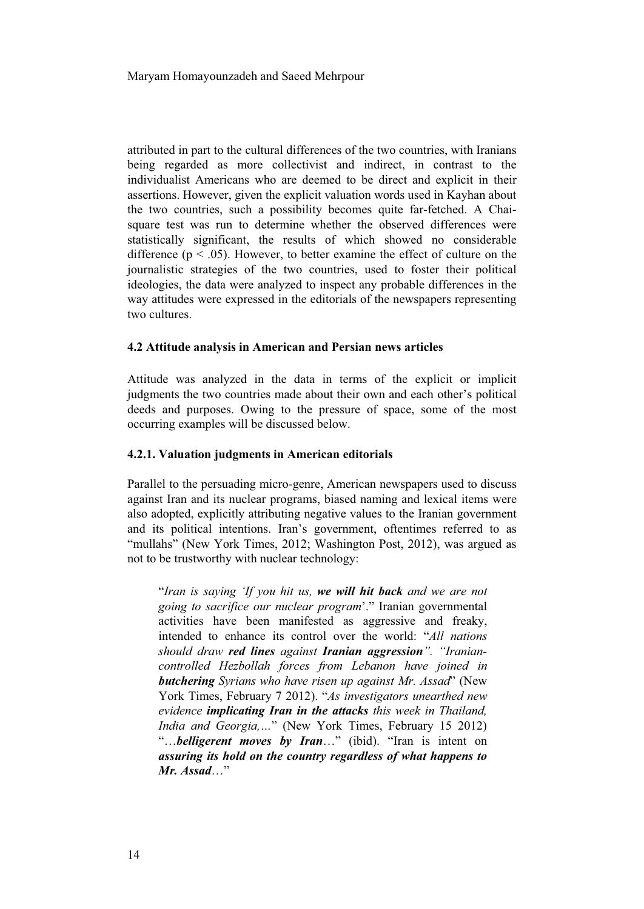attributed in part to the cultural differences of the two countries, with Iranians being regarded as more collectivist and indirect, in contrast to the individualist Americans who are deemed to be direct and explicit in their assertions. However, given the explicit valuation words used in Kayhan about the two countries, such a possibility becomes quite far-fetched. A Chaisquare test was run to determine whether the observed differences were statistically significant, the results of which showed no considerable difference ( $p < .05$ ). However, to better examine the effect of culture on the journalistic strategies of the two countries, used to foster their political ideologies, the data were analyzed to inspect any probable differences in the way attitudes were expressed in the editorials of the newspapers representing two cultures.

#### **4.2 Attitude analysis in American and Persian news articles**

Attitude was analyzed in the data in terms of the explicit or implicit judgments the two countries made about their own and each other's political deeds and purposes. Owing to the pressure of space, some of the most occurring examples will be discussed below.

#### **4.2.1. Valuation judgments in American editorials**

Parallel to the persuading micro-genre, American newspapers used to discuss against Iran and its nuclear programs, biased naming and lexical items were also adopted, explicitly attributing negative values to the Iranian government and its political intentions. Iran's government, oftentimes referred to as "mullahs" (New York Times, 2012; Washington Post, 2012), was argued as not to be trustworthy with nuclear technology:

"*Iran is saying 'If you hit us, we will hit back and we are not going to sacrifice our nuclear program*'." Iranian governmental activities have been manifested as aggressive and freaky, intended to enhance its control over the world: "*All nations should draw red lines against Iranian aggression". "Iraniancontrolled Hezbollah forces from Lebanon have joined in butchering Syrians who have risen up against Mr. Assad*" (New York Times, February 7 2012). "*As investigators unearthed new evidence implicating Iran in the attacks this week in Thailand, India and Georgia,…*" (New York Times, February 15 2012) "…*belligerent moves by Iran*…" (ibid). "Iran is intent on *assuring its hold on the country regardless of what happens to Mr. Assad*…"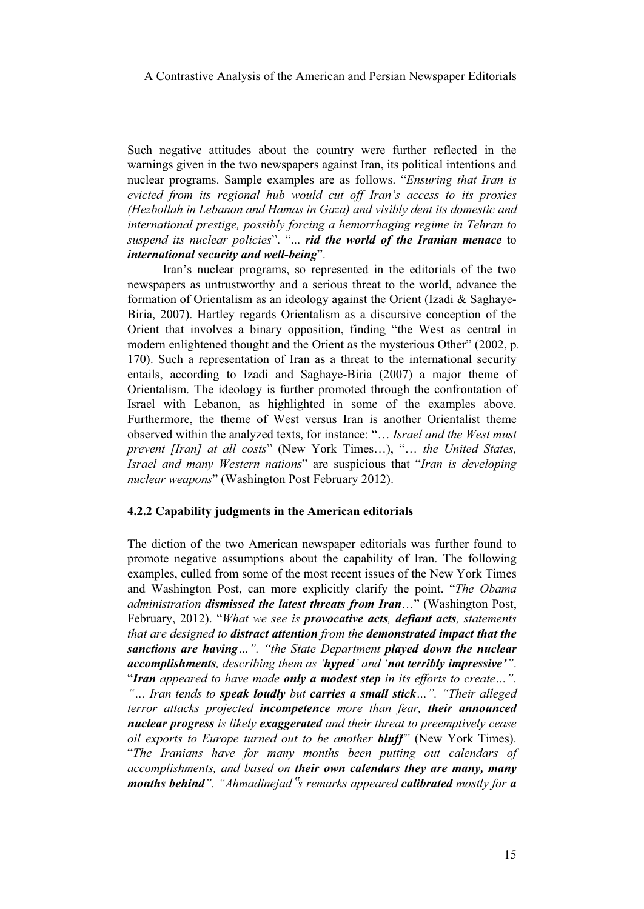Such negative attitudes about the country were further reflected in the warnings given in the two newspapers against Iran, its political intentions and nuclear programs. Sample examples are as follows. "*Ensuring that Iran is evicted from its regional hub would cut off Iran's access to its proxies (Hezbollah in Lebanon and Hamas in Gaza) and visibly dent its domestic and international prestige, possibly forcing a hemorrhaging regime in Tehran to suspend its nuclear policies*". "... *rid the world of the Iranian menace* to *international security and well-being*".

Iran's nuclear programs, so represented in the editorials of the two newspapers as untrustworthy and a serious threat to the world, advance the formation of Orientalism as an ideology against the Orient (Izadi & Saghaye-Biria, 2007). Hartley regards Orientalism as a discursive conception of the Orient that involves a binary opposition, finding "the West as central in modern enlightened thought and the Orient as the mysterious Other" (2002, p. 170). Such a representation of Iran as a threat to the international security entails, according to Izadi and Saghaye-Biria (2007) a major theme of Orientalism. The ideology is further promoted through the confrontation of Israel with Lebanon, as highlighted in some of the examples above. Furthermore, the theme of West versus Iran is another Orientalist theme observed within the analyzed texts, for instance: "… *Israel and the West must prevent [Iran] at all costs*" (New York Times…), "… *the United States, Israel and many Western nations*" are suspicious that "*Iran is developing nuclear weapons*" (Washington Post February 2012).

#### **4.2.2 Capability judgments in the American editorials**

The diction of the two American newspaper editorials was further found to promote negative assumptions about the capability of Iran. The following examples, culled from some of the most recent issues of the New York Times and Washington Post, can more explicitly clarify the point. "*The Obama administration dismissed the latest threats from Iran*…" (Washington Post, February, 2012). "*What we see is provocative acts, defiant acts, statements that are designed to distract attention from the demonstrated impact that the sanctions are having…". "the State Department played down the nuclear accomplishments, describing them as 'hyped' and 'not terribly impressive'"*. "*Iran appeared to have made only a modest step in its efforts to create…". "… Iran tends to speak loudly but carries a small stick…". "Their alleged terror attacks projected incompetence more than fear, their announced nuclear progress is likely exaggerated and their threat to preemptively cease oil exports to Europe turned out to be another bluff"* (New York Times). "*The Iranians have for many months been putting out calendars of accomplishments, and based on their own calendars they are many, many months behind". "Ahmadinejad*-*s remarks appeared calibrated mostly for a*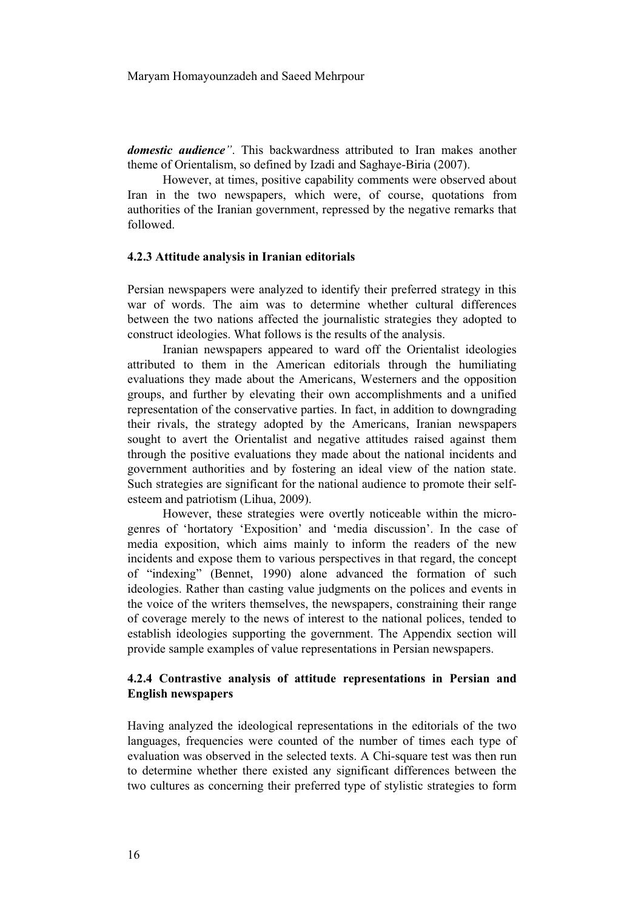*domestic audience"*. This backwardness attributed to Iran makes another theme of Orientalism, so defined by Izadi and Saghaye-Biria (2007).

However, at times, positive capability comments were observed about Iran in the two newspapers, which were, of course, quotations from authorities of the Iranian government, repressed by the negative remarks that followed.

#### **4.2.3 Attitude analysis in Iranian editorials**

Persian newspapers were analyzed to identify their preferred strategy in this war of words. The aim was to determine whether cultural differences between the two nations affected the journalistic strategies they adopted to construct ideologies. What follows is the results of the analysis.

Iranian newspapers appeared to ward off the Orientalist ideologies attributed to them in the American editorials through the humiliating evaluations they made about the Americans, Westerners and the opposition groups, and further by elevating their own accomplishments and a unified representation of the conservative parties. In fact, in addition to downgrading their rivals, the strategy adopted by the Americans, Iranian newspapers sought to avert the Orientalist and negative attitudes raised against them through the positive evaluations they made about the national incidents and government authorities and by fostering an ideal view of the nation state. Such strategies are significant for the national audience to promote their selfesteem and patriotism (Lihua, 2009).

However, these strategies were overtly noticeable within the microgenres of 'hortatory 'Exposition' and 'media discussion'. In the case of media exposition, which aims mainly to inform the readers of the new incidents and expose them to various perspectives in that regard, the concept of "indexing" (Bennet, 1990) alone advanced the formation of such ideologies. Rather than casting value judgments on the polices and events in the voice of the writers themselves, the newspapers, constraining their range of coverage merely to the news of interest to the national polices, tended to establish ideologies supporting the government. The Appendix section will provide sample examples of value representations in Persian newspapers.

# **4.2.4 Contrastive analysis of attitude representations in Persian and English newspapers**

Having analyzed the ideological representations in the editorials of the two languages, frequencies were counted of the number of times each type of evaluation was observed in the selected texts. A Chi-square test was then run to determine whether there existed any significant differences between the two cultures as concerning their preferred type of stylistic strategies to form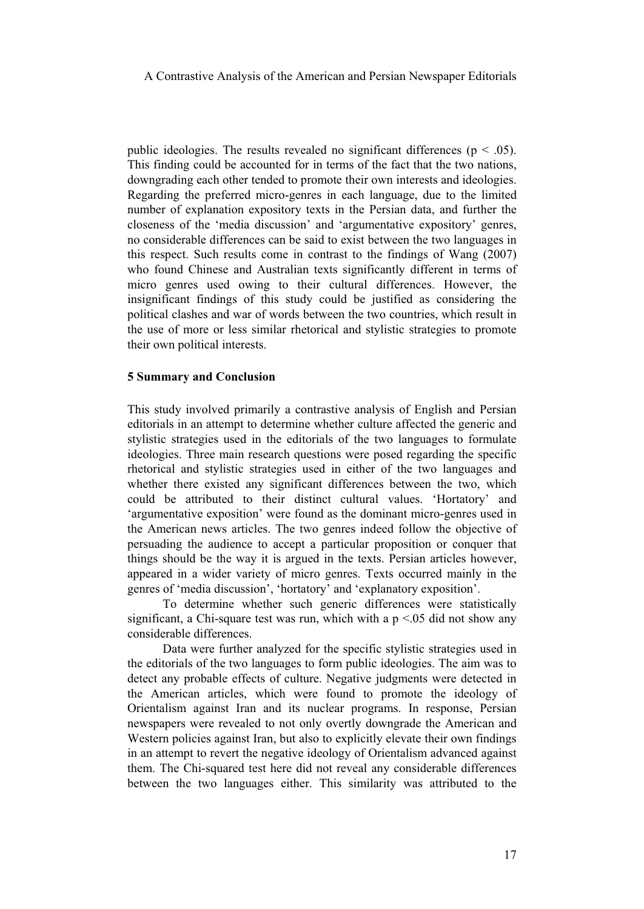public ideologies. The results revealed no significant differences ( $p < .05$ ). This finding could be accounted for in terms of the fact that the two nations, downgrading each other tended to promote their own interests and ideologies. Regarding the preferred micro-genres in each language, due to the limited number of explanation expository texts in the Persian data, and further the closeness of the 'media discussion' and 'argumentative expository' genres, no considerable differences can be said to exist between the two languages in this respect. Such results come in contrast to the findings of Wang (2007) who found Chinese and Australian texts significantly different in terms of micro genres used owing to their cultural differences. However, the insignificant findings of this study could be justified as considering the political clashes and war of words between the two countries, which result in the use of more or less similar rhetorical and stylistic strategies to promote their own political interests.

## **5 Summary and Conclusion**

This study involved primarily a contrastive analysis of English and Persian editorials in an attempt to determine whether culture affected the generic and stylistic strategies used in the editorials of the two languages to formulate ideologies. Three main research questions were posed regarding the specific rhetorical and stylistic strategies used in either of the two languages and whether there existed any significant differences between the two, which could be attributed to their distinct cultural values. 'Hortatory' and 'argumentative exposition' were found as the dominant micro-genres used in the American news articles. The two genres indeed follow the objective of persuading the audience to accept a particular proposition or conquer that things should be the way it is argued in the texts. Persian articles however, appeared in a wider variety of micro genres. Texts occurred mainly in the genres of 'media discussion', 'hortatory' and 'explanatory exposition'.

To determine whether such generic differences were statistically significant, a Chi-square test was run, which with a  $p \le 0.05$  did not show any considerable differences.

Data were further analyzed for the specific stylistic strategies used in the editorials of the two languages to form public ideologies. The aim was to detect any probable effects of culture. Negative judgments were detected in the American articles, which were found to promote the ideology of Orientalism against Iran and its nuclear programs. In response, Persian newspapers were revealed to not only overtly downgrade the American and Western policies against Iran, but also to explicitly elevate their own findings in an attempt to revert the negative ideology of Orientalism advanced against them. The Chi-squared test here did not reveal any considerable differences between the two languages either. This similarity was attributed to the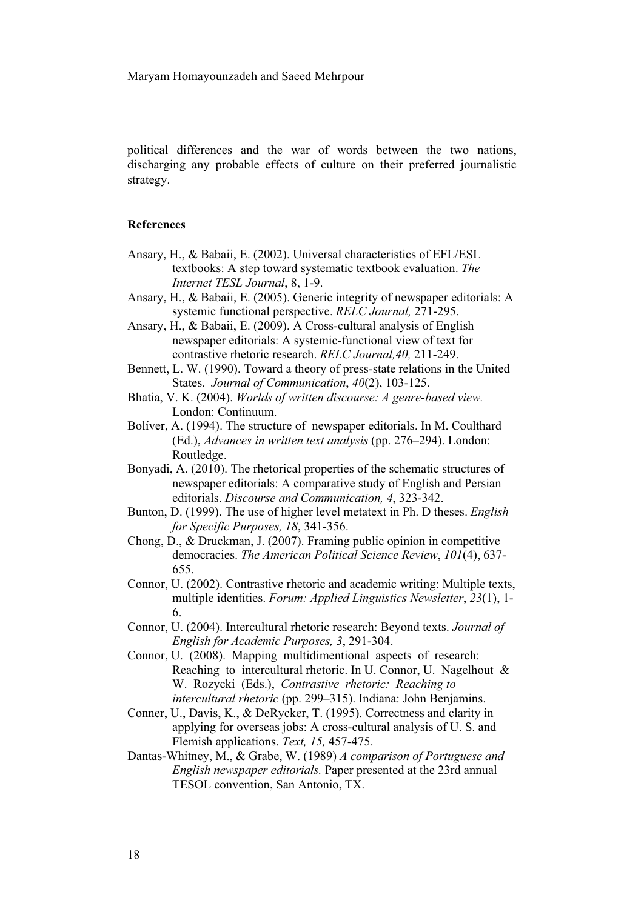political differences and the war of words between the two nations, discharging any probable effects of culture on their preferred journalistic strategy.

# **References**

- Ansary, H., & Babaii, E. (2002). Universal characteristics of EFL/ESL textbooks: A step toward systematic textbook evaluation. *The Internet TESL Journal*, 8, 1-9.
- Ansary, H., & Babaii, E. (2005). Generic integrity of newspaper editorials: A systemic functional perspective. *RELC Journal,* 271-295.
- Ansary, H., & Babaii, E. (2009). A Cross-cultural analysis of English newspaper editorials: A systemic-functional view of text for contrastive rhetoric research. *RELC Journal,40,* 211-249.
- Bennett, L. W. (1990). Toward a theory of press-state relations in the United States. *Journal of Communication*, *40*(2), 103-125.
- Bhatia, V. K. (2004). *Worlds of written discourse: A genre-based view.*  London: Continuum.
- Bolíver, A. (1994). The structure of newspaper editorials. In M. Coulthard (Ed.), *Advances in written text analysis* (pp. 276–294). London: Routledge.
- Bonyadi, A. (2010). The rhetorical properties of the schematic structures of newspaper editorials: A comparative study of English and Persian editorials. *Discourse and Communication, 4*, 323-342.
- Bunton, D. (1999). The use of higher level metatext in Ph. D theses. *English for Specific Purposes, 18*, 341-356.
- Chong, D., & Druckman, J. (2007). Framing public opinion in competitive democracies. *The American Political Science Review*, *101*(4), 637- 655.
- Connor, U. (2002). Contrastive rhetoric and academic writing: Multiple texts, multiple identities. *Forum: Applied Linguistics Newsletter*, *23*(1), 1- 6.
- Connor, U. (2004). Intercultural rhetoric research: Beyond texts. *Journal of English for Academic Purposes, 3*, 291-304.
- Connor, U. (2008). Mapping multidimentional aspects of research: Reaching to intercultural rhetoric. In U. Connor, U. Nagelhout & W. Rozycki (Eds.), *Contrastive rhetoric: Reaching to intercultural rhetoric* (pp. 299–315). Indiana: John Benjamins.
- Conner, U., Davis, K., & DeRycker, T. (1995). Correctness and clarity in applying for overseas jobs: A cross-cultural analysis of U. S. and Flemish applications. *Text, 15,* 457-475.
- Dantas-Whitney, M., & Grabe, W. (1989) *A comparison of Portuguese and English newspaper editorials.* Paper presented at the 23rd annual TESOL convention, San Antonio, TX.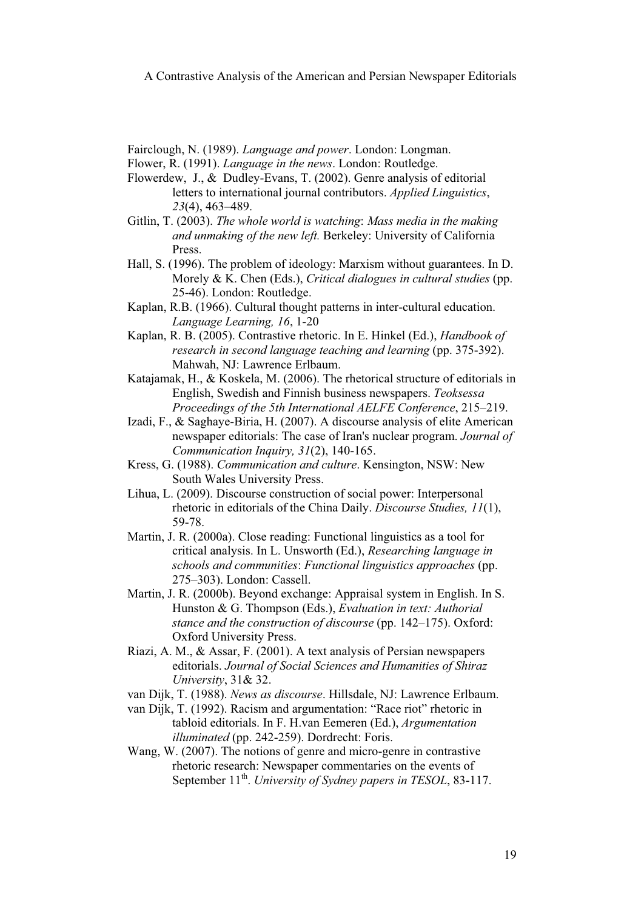Fairclough, N. (1989). *Language and power*. London: Longman.

Flower, R. (1991). *Language in the news*. London: Routledge.

- Flowerdew, J., & Dudley-Evans, T. (2002). Genre analysis of editorial letters to international journal contributors. *Applied Linguistics*, *23*(4), 463–489.
- Gitlin, T. (2003). *The whole world is watching*: *Mass media in the making and unmaking of the new left.* Berkeley: University of California Press.
- Hall, S. (1996). The problem of ideology: Marxism without guarantees. In D. Morely & K. Chen (Eds.), *Critical dialogues in cultural studies* (pp. 25-46). London: Routledge.
- Kaplan, R.B. (1966). Cultural thought patterns in inter-cultural education. *Language Learning, 16*, 1-20
- Kaplan, R. B. (2005). Contrastive rhetoric. In E. Hinkel (Ed.), *Handbook of research in second language teaching and learning* (pp. 375-392). Mahwah, NJ: Lawrence Erlbaum.
- Katajamak, H., & Koskela, M. (2006). The rhetorical structure of editorials in English, Swedish and Finnish business newspapers. *Teoksessa Proceedings of the 5th International AELFE Conference*, 215–219.
- Izadi, F., & Saghaye-Biria, H. (2007). A discourse analysis of elite American newspaper editorials: The case of Iran's nuclear program. *Journal of Communication Inquiry, 31*(2), 140-165.
- Kress, G. (1988). *Communication and culture*. Kensington, NSW: New South Wales University Press.
- Lihua, L. (2009). Discourse construction of social power: Interpersonal rhetoric in editorials of the China Daily. *Discourse Studies, 11*(1), 59-78.
- Martin, J. R. (2000a). Close reading: Functional linguistics as a tool for critical analysis. In L. Unsworth (Ed.), *Researching language in schools and communities*: *Functional linguistics approaches* (pp. 275–303). London: Cassell.
- Martin, J. R. (2000b). Beyond exchange: Appraisal system in English. In S. Hunston & G. Thompson (Eds.), *Evaluation in text: Authorial stance and the construction of discourse* (pp. 142–175). Oxford: Oxford University Press.
- Riazi, A. M., & Assar, F. (2001). A text analysis of Persian newspapers editorials. *Journal of Social Sciences and Humanities of Shiraz University*, 31& 32.
- van Dijk, T. (1988). *News as discourse*. Hillsdale, NJ: Lawrence Erlbaum.
- van Dijk, T. (1992). Racism and argumentation: "Race riot" rhetoric in tabloid editorials. In F. H.van Eemeren (Ed.), *Argumentation illuminated* (pp. 242-259). Dordrecht: Foris.
- Wang, W. (2007). The notions of genre and micro-genre in contrastive rhetoric research: Newspaper commentaries on the events of September 11<sup>th</sup>. *University of Sydney papers in TESOL*, 83-117.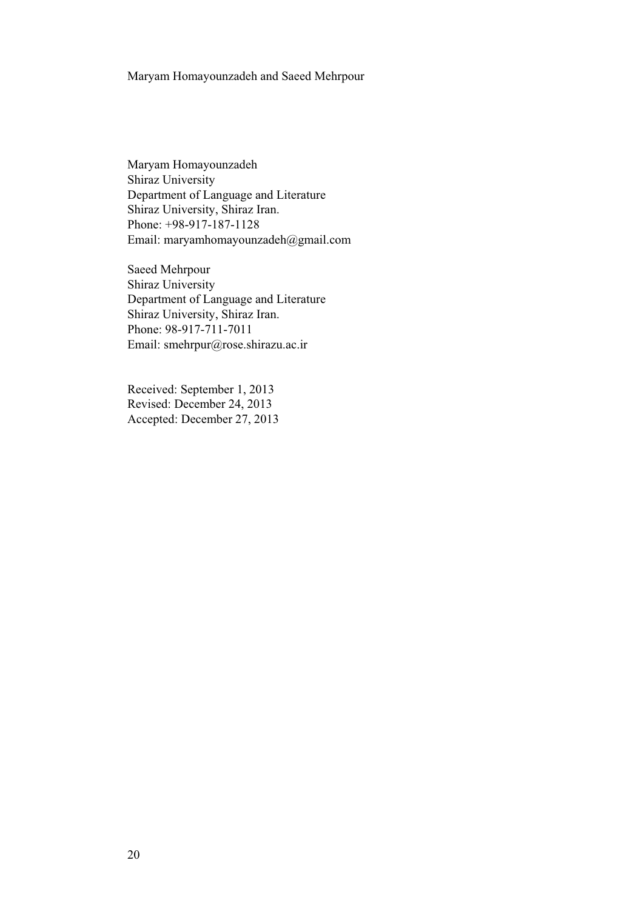Maryam Homayounzadeh Shiraz University Department of Language and Literature Shiraz University, Shiraz Iran. Phone: +98-917-187-1128 Email: maryamhomayounzadeh@gmail.com

Saeed Mehrpour Shiraz University Department of Language and Literature Shiraz University, Shiraz Iran. Phone: 98-917-711-7011 Email: smehrpur@rose.shirazu.ac.ir

Received: September 1, 2013 Revised: December 24, 2013 Accepted: December 27, 2013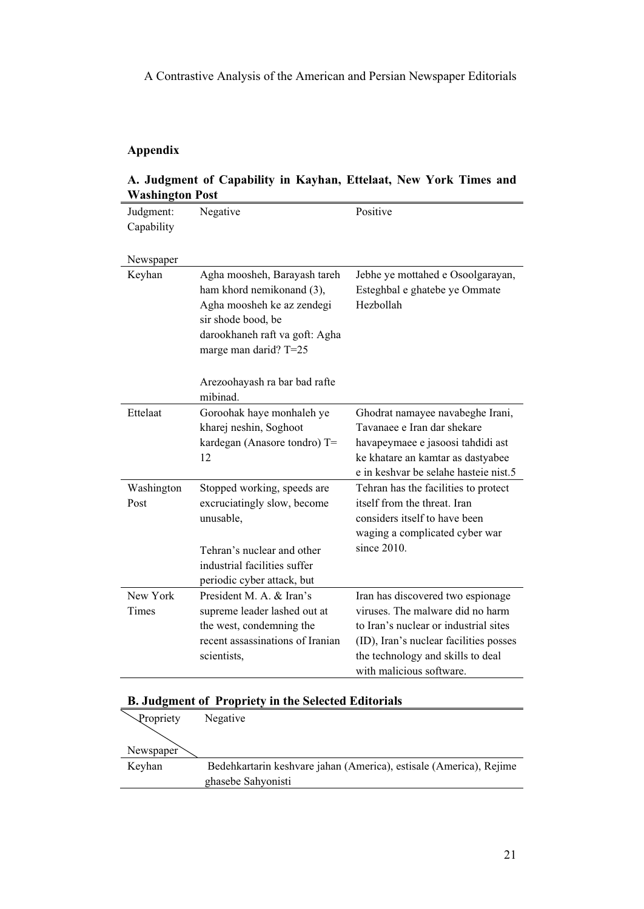# **Appendix**

| Washington Post |                                                                                                                                                                          |                                                                                 |  |  |  |  |
|-----------------|--------------------------------------------------------------------------------------------------------------------------------------------------------------------------|---------------------------------------------------------------------------------|--|--|--|--|
| Judgment:       | Negative                                                                                                                                                                 | Positive                                                                        |  |  |  |  |
| Capability      |                                                                                                                                                                          |                                                                                 |  |  |  |  |
|                 |                                                                                                                                                                          |                                                                                 |  |  |  |  |
| Newspaper       |                                                                                                                                                                          |                                                                                 |  |  |  |  |
| Keyhan          | Agha moosheh, Barayash tareh<br>ham khord nemikonand (3),<br>Agha moosheh ke az zendegi<br>sir shode bood, be<br>darookhaneh raft va goft: Agha<br>marge man darid? T=25 | Jebhe ye mottahed e Osoolgarayan,<br>Esteghbal e ghatebe ye Ommate<br>Hezbollah |  |  |  |  |
|                 | Arezoohayash ra bar bad rafte<br>mibinad.                                                                                                                                |                                                                                 |  |  |  |  |
| Ettelaat        | Goroohak haye monhaleh ye                                                                                                                                                | Ghodrat namayee navabeghe Irani,                                                |  |  |  |  |
|                 | kharej neshin, Soghoot                                                                                                                                                   | Tavanaee e Iran dar shekare                                                     |  |  |  |  |
|                 | kardegan (Anasore tondro) T=                                                                                                                                             | havapeymaee e jasoosi tahdidi ast                                               |  |  |  |  |
|                 | 12                                                                                                                                                                       | ke khatare an kamtar as dastyabee                                               |  |  |  |  |
|                 |                                                                                                                                                                          | e in keshvar be selahe hasteie nist.5                                           |  |  |  |  |
| Washington      | Stopped working, speeds are                                                                                                                                              | Tehran has the facilities to protect                                            |  |  |  |  |
| Post            | excruciatingly slow, become                                                                                                                                              | itself from the threat. Iran                                                    |  |  |  |  |
|                 | unusable,                                                                                                                                                                | considers itself to have been<br>waging a complicated cyber war                 |  |  |  |  |
|                 |                                                                                                                                                                          | since $2010$ .                                                                  |  |  |  |  |
|                 | Tehran's nuclear and other                                                                                                                                               |                                                                                 |  |  |  |  |
|                 | industrial facilities suffer                                                                                                                                             |                                                                                 |  |  |  |  |
|                 | periodic cyber attack, but                                                                                                                                               |                                                                                 |  |  |  |  |
| New York        | President M. A. & Iran's                                                                                                                                                 | Iran has discovered two espionage                                               |  |  |  |  |
| Times           | supreme leader lashed out at                                                                                                                                             | viruses. The malware did no harm                                                |  |  |  |  |
|                 | the west, condemning the                                                                                                                                                 | to Iran's nuclear or industrial sites                                           |  |  |  |  |
|                 | recent assassinations of Iranian                                                                                                                                         | (ID), Iran's nuclear facilities posses                                          |  |  |  |  |
|                 | scientists,                                                                                                                                                              | the technology and skills to deal                                               |  |  |  |  |
|                 |                                                                                                                                                                          | with malicious software.                                                        |  |  |  |  |

# **A. Judgment of Capability in Kayhan, Ettelaat, New York Times and Washington Post**

# **B. Judgment of Propriety in the Selected Editorials**

|           | D. Judgment 01 Tropriety in the Selected Editorials                |
|-----------|--------------------------------------------------------------------|
| Propriety | Negative                                                           |
|           |                                                                    |
| Newspaper |                                                                    |
| Keyhan    | Bedehkartarin keshvare jahan (America), estisale (America), Rejime |
|           | ghasebe Sahyonisti                                                 |